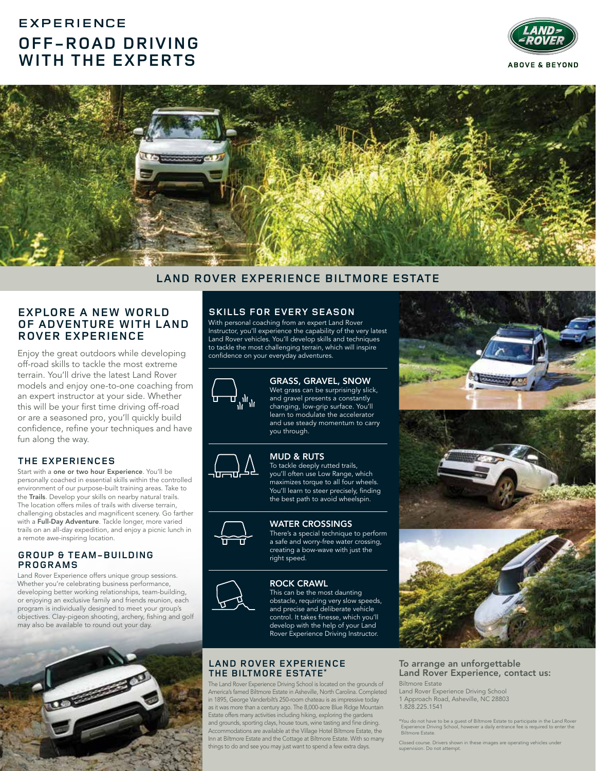# **EXPERIENCE OFF-ROAD DRIVING WITH THE EXPERTS**





# **LAND ROVER EXPERIENCE BILTMORE ESTATE**

# **EXPLORE A NEW WORLD OF ADVENTURE WITH LAND ROVER EXPERIENCE**

Enjoy the great outdoors while developing off-road skills to tackle the most extreme terrain. You'll drive the latest Land Rover models and enjoy one-to-one coaching from an expert instructor at your side. Whether this will be your first time driving off-road or are a seasoned pro, you'll quickly build confidence, refine your techniques and have fun along the way.

## **THE EXPERIENCES**

Start with a one or two hour Experience. You'll be personally coached in essential skills within the controlled environment of our purpose-built training areas. Take to the Trails. Develop your skills on nearby natural trails. The location offers miles of trails with diverse terrain, challenging obstacles and magnificent scenery. Go farther with a Full-Day Adventure. Tackle longer, more varied trails on an all-day expedition, and enjoy a picnic lunch in a remote awe-inspiring location.

#### **GROUP & TEAM-BUILDING PROGRAMS**

Land Rover Experience offers unique group sessions. Whether you're celebrating business performance, developing better working relationships, team-building, or enjoying an exclusive family and friends reunion, each program is individually designed to meet your group's objectives. Clay-pigeon shooting, archery, fishing and golf may also be available to round out your day.



# **SKILLS FOR EVERY SEASON**

With personal coaching from an expert Land Rover Instructor, you'll experience the capability of the very latest Land Rover vehicles. You'll develop skills and techniques to tackle the most challenging terrain, which will inspire confidence on your everyday adventures.



GRASS, GRAVEL, SNOW Wet grass can be surprisingly slick, and gravel presents a constantly changing, low-grip surface. You'll learn to modulate the accelerator and use steady momentum to carry you through.



MUD & RUTS To tackle deeply rutted trails, you'll often use Low Range, which maximizes torque to all four wheels. You'll learn to steer precisely, finding the best path to avoid wheelspin.

#### WATER CROSSINGS

There's a special technique to perform a safe and worry-free water crossing, creating a bow-wave with just the right speed.



ROCK CRAWL This can be the most daunting obstacle, requiring very slow speeds, and precise and deliberate vehicle control. It takes finesse, which you'll develop with the help of your Land Rover Experience Driving Instructor.

#### **LAND ROVER EXPERIENCE THE BILTMORE ESTATE\***

The Land Rover Experience Driving School is located on the grounds of America's famed Biltmore Estate in Asheville, North Carolina. Completed in 1895, George Vanderbilt's 250-room chateau is as impressive today as it was more than a century ago. The 8,000-acre Blue Ridge Mountain Estate offers many activities including hiking, exploring the gardens and grounds, sporting clays, house tours, wine tasting and fine dining. Accommodations are available at the Village Hotel Biltmore Estate, the Inn at Biltmore Estate and the Cottage at Biltmore Estate. With so many things to do and see you may just want to spend a few extra days.



#### To arrange an unforgettable Land Rover Experience, contact us: Biltmore Estate

Land Rover Experience Driving School 1 Approach Road, Asheville, NC 28803 1.828.225.1541

\*You do not have to be a guest of Biltmore Estate to participate in the Land Rover Experience Driving School, however a daily entrance fee is required to enter the Biltmore Estate.

Closed course. Drivers shown in these images are operating vehicles under supervision. Do not attempt.